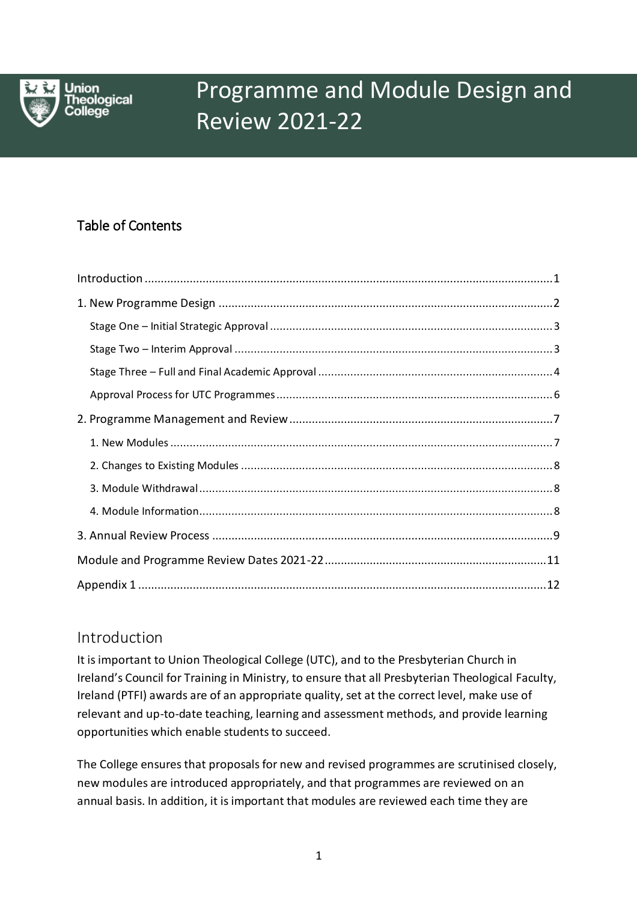

Union **reological** 

# Programme and Module Design and Review 2021-22

#### Table of Contents Programme Design and Review 2021-22

## <span id="page-0-0"></span>Introduction

It is important to Union Theological College (UTC), and to the Presbyterian Church in Ireland's Council for Training in Ministry, to ensure that all Presbyterian Theological Faculty, Ireland (PTFI) awards are of an appropriate quality, set at the correct level, make use of relevant and up-to-date teaching, learning and assessment methods, and provide learning opportunities which enable students to succeed.

The College ensures that proposals for new and revised programmes are scrutinised closely, new modules are introduced appropriately, and that programmes are reviewed on an annual basis. In addition, it is important that modules are reviewed each time they are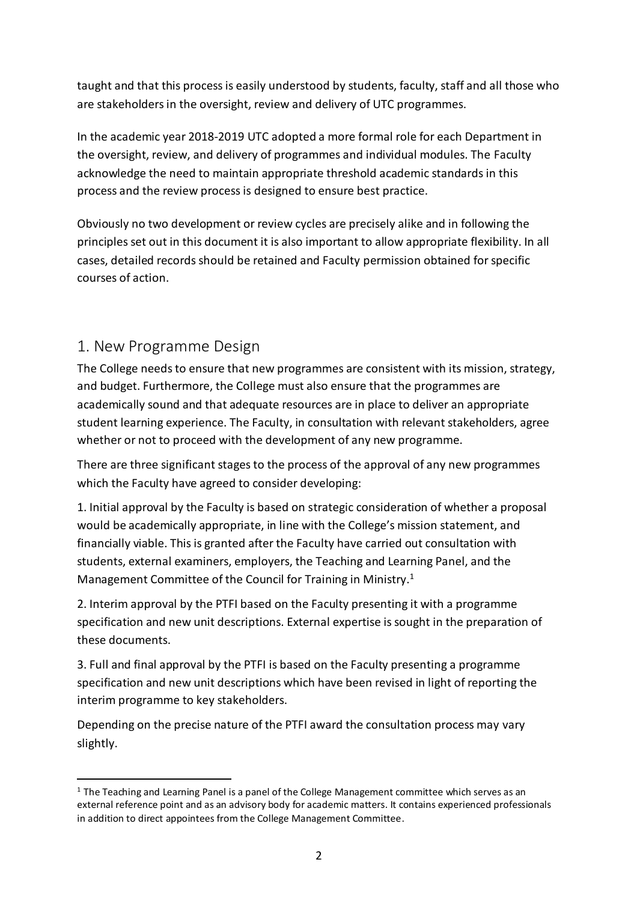taught and that this process is easily understood by students, faculty, staff and all those who are stakeholders in the oversight, review and delivery of UTC programmes.

In the academic year 2018-2019 UTC adopted a more formal role for each Department in the oversight, review, and delivery of programmes and individual modules. The Faculty acknowledge the need to maintain appropriate threshold academic standards in this process and the review process is designed to ensure best practice.

Obviously no two development or review cycles are precisely alike and in following the principles set out in this document it is also important to allow appropriate flexibility. In all cases, detailed records should be retained and Faculty permission obtained for specific courses of action.

## <span id="page-1-0"></span>1. New Programme Design

 $\overline{a}$ 

The College needs to ensure that new programmes are consistent with its mission, strategy, and budget. Furthermore, the College must also ensure that the programmes are academically sound and that adequate resources are in place to deliver an appropriate student learning experience. The Faculty, in consultation with relevant stakeholders, agree whether or not to proceed with the development of any new programme.

There are three significant stages to the process of the approval of any new programmes which the Faculty have agreed to consider developing:

1. Initial approval by the Faculty is based on strategic consideration of whether a proposal would be academically appropriate, in line with the College's mission statement, and financially viable. This is granted after the Faculty have carried out consultation with students, external examiners, employers, the Teaching and Learning Panel, and the Management Committee of the Council for Training in Ministry.<sup>1</sup>

2. Interim approval by the PTFI based on the Faculty presenting it with a programme specification and new unit descriptions. External expertise is sought in the preparation of these documents.

3. Full and final approval by the PTFI is based on the Faculty presenting a programme specification and new unit descriptions which have been revised in light of reporting the interim programme to key stakeholders.

Depending on the precise nature of the PTFI award the consultation process may vary slightly.

 $1$  The Teaching and Learning Panel is a panel of the College Management committee which serves as an external reference point and as an advisory body for academic matters. It contains experienced professionals in addition to direct appointees from the College Management Committee.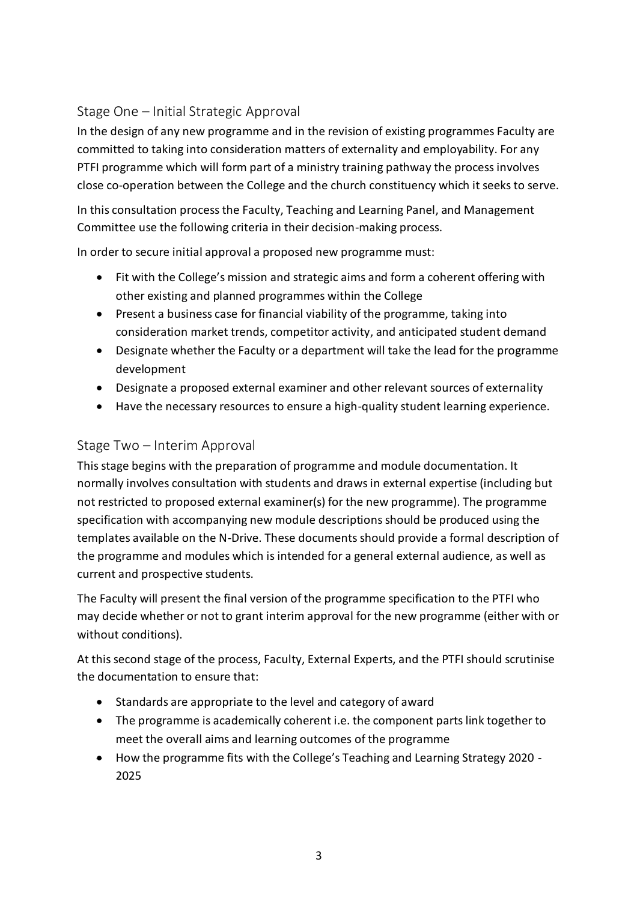## <span id="page-2-0"></span>Stage One – Initial Strategic Approval

In the design of any new programme and in the revision of existing programmes Faculty are committed to taking into consideration matters of externality and employability. For any PTFI programme which will form part of a ministry training pathway the process involves close co-operation between the College and the church constituency which it seeks to serve.

In this consultation process the Faculty, Teaching and Learning Panel, and Management Committee use the following criteria in their decision-making process.

In order to secure initial approval a proposed new programme must:

- Fit with the College's mission and strategic aims and form a coherent offering with other existing and planned programmes within the College
- Present a business case for financial viability of the programme, taking into consideration market trends, competitor activity, and anticipated student demand
- Designate whether the Faculty or a department will take the lead for the programme development
- Designate a proposed external examiner and other relevant sources of externality
- Have the necessary resources to ensure a high-quality student learning experience.

## <span id="page-2-1"></span>Stage Two – Interim Approval

This stage begins with the preparation of programme and module documentation. It normally involves consultation with students and draws in external expertise (including but not restricted to proposed external examiner(s) for the new programme). The programme specification with accompanying new module descriptions should be produced using the templates available on the N-Drive. These documents should provide a formal description of the programme and modules which is intended for a general external audience, as well as current and prospective students.

The Faculty will present the final version of the programme specification to the PTFI who may decide whether or not to grant interim approval for the new programme (either with or without conditions).

At this second stage of the process, Faculty, External Experts, and the PTFI should scrutinise the documentation to ensure that:

- Standards are appropriate to the level and category of award
- The programme is academically coherent i.e. the component parts link together to meet the overall aims and learning outcomes of the programme
- How the programme fits with the College's Teaching and Learning Strategy 2020 2025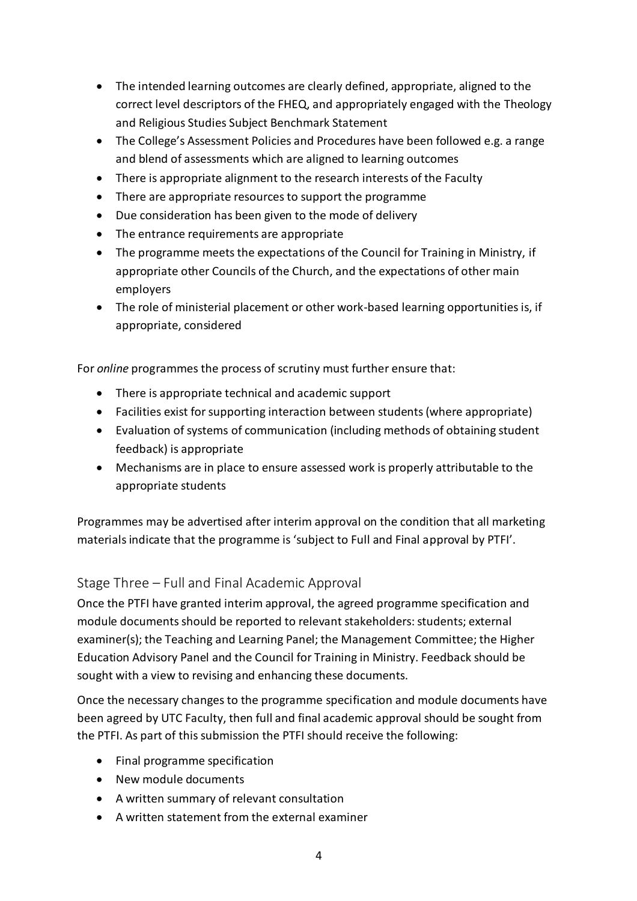- The intended learning outcomes are clearly defined, appropriate, aligned to the correct level descriptors of the FHEQ, and appropriately engaged with the Theology and Religious Studies Subject Benchmark Statement
- The College's Assessment Policies and Procedures have been followed e.g. a range and blend of assessments which are aligned to learning outcomes
- There is appropriate alignment to the research interests of the Faculty
- There are appropriate resources to support the programme
- Due consideration has been given to the mode of delivery
- The entrance requirements are appropriate
- The programme meets the expectations of the Council for Training in Ministry, if appropriate other Councils of the Church, and the expectations of other main employers
- The role of ministerial placement or other work-based learning opportunities is, if appropriate, considered

For *online* programmes the process of scrutiny must further ensure that:

- There is appropriate technical and academic support
- Facilities exist for supporting interaction between students (where appropriate)
- Evaluation of systems of communication (including methods of obtaining student feedback) is appropriate
- Mechanisms are in place to ensure assessed work is properly attributable to the appropriate students

Programmes may be advertised after interim approval on the condition that all marketing materials indicate that the programme is 'subject to Full and Final approval by PTFI'.

## <span id="page-3-0"></span>Stage Three – Full and Final Academic Approval

Once the PTFI have granted interim approval, the agreed programme specification and module documents should be reported to relevant stakeholders: students; external examiner(s); the Teaching and Learning Panel; the Management Committee; the Higher Education Advisory Panel and the Council for Training in Ministry. Feedback should be sought with a view to revising and enhancing these documents.

Once the necessary changes to the programme specification and module documents have been agreed by UTC Faculty, then full and final academic approval should be sought from the PTFI. As part of this submission the PTFI should receive the following:

- Final programme specification
- New module documents
- A written summary of relevant consultation
- A written statement from the external examiner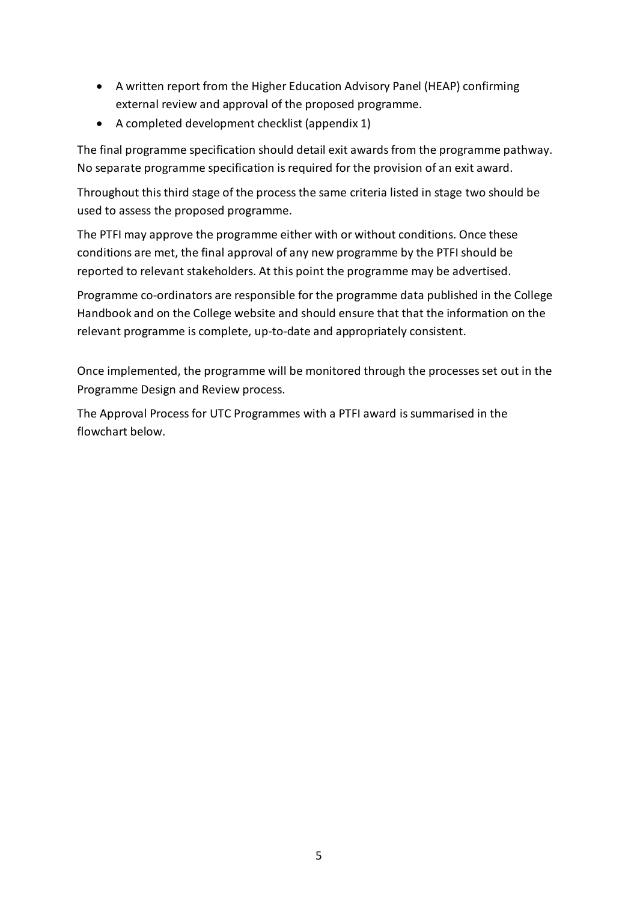- A written report from the Higher Education Advisory Panel (HEAP) confirming external review and approval of the proposed programme.
- A completed development checklist (appendix 1)

The final programme specification should detail exit awards from the programme pathway. No separate programme specification is required for the provision of an exit award.

Throughout this third stage of the process the same criteria listed in stage two should be used to assess the proposed programme.

The PTFI may approve the programme either with or without conditions. Once these conditions are met, the final approval of any new programme by the PTFI should be reported to relevant stakeholders. At this point the programme may be advertised.

Programme co-ordinators are responsible for the programme data published in the College Handbook and on the College website and should ensure that that the information on the relevant programme is complete, up-to-date and appropriately consistent.

Once implemented, the programme will be monitored through the processes set out in the Programme Design and Review process.

The Approval Process for UTC Programmes with a PTFI award is summarised in the flowchart below.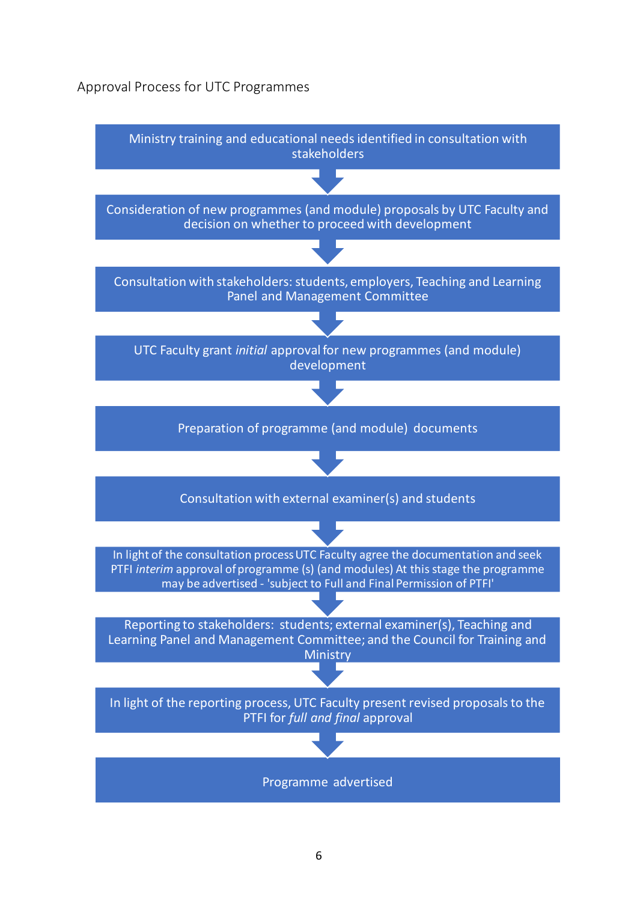#### <span id="page-5-0"></span>Approval Process for UTC Programmes

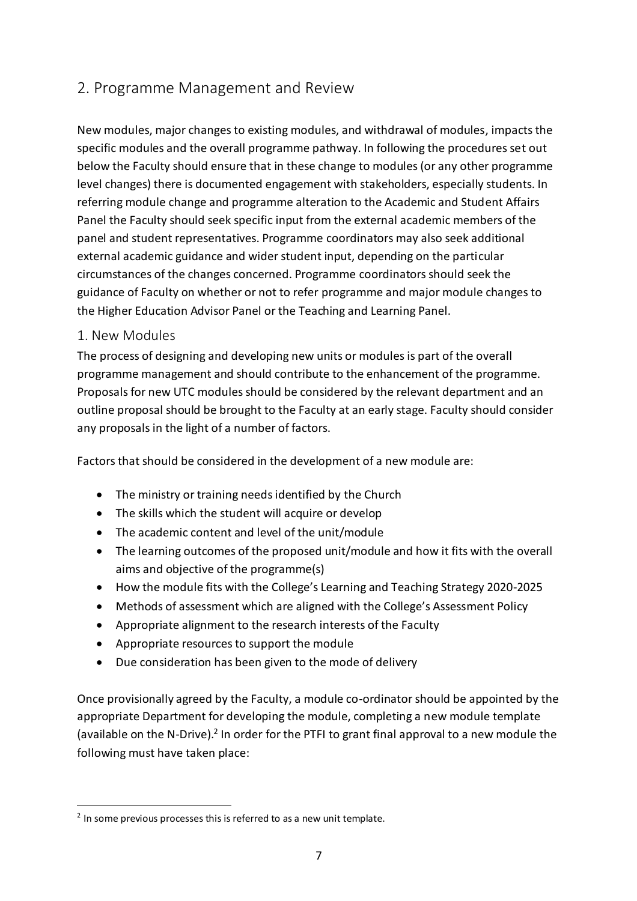## <span id="page-6-0"></span>2. Programme Management and Review

New modules, major changes to existing modules, and withdrawal of modules, impacts the specific modules and the overall programme pathway. In following the procedures set out below the Faculty should ensure that in these change to modules (or any other programme level changes) there is documented engagement with stakeholders, especially students. In referring module change and programme alteration to the Academic and Student Affairs Panel the Faculty should seek specific input from the external academic members of the panel and student representatives. Programme coordinators may also seek additional external academic guidance and wider student input, depending on the particular circumstances of the changes concerned. Programme coordinators should seek the guidance of Faculty on whether or not to refer programme and major module changes to the Higher Education Advisor Panel or the Teaching and Learning Panel.

#### <span id="page-6-1"></span>1. New Modules

 $\overline{a}$ 

The process of designing and developing new units or modules is part of the overall programme management and should contribute to the enhancement of the programme. Proposals for new UTC modules should be considered by the relevant department and an outline proposal should be brought to the Faculty at an early stage. Faculty should consider any proposals in the light of a number of factors.

Factors that should be considered in the development of a new module are:

- The ministry or training needs identified by the Church
- The skills which the student will acquire or develop
- The academic content and level of the unit/module
- The learning outcomes of the proposed unit/module and how it fits with the overall aims and objective of the programme(s)
- How the module fits with the College's Learning and Teaching Strategy 2020-2025
- Methods of assessment which are aligned with the College's Assessment Policy
- Appropriate alignment to the research interests of the Faculty
- Appropriate resources to support the module
- Due consideration has been given to the mode of delivery

Once provisionally agreed by the Faculty, a module co-ordinator should be appointed by the appropriate Department for developing the module, completing a new module template (available on the N-Drive).<sup>2</sup> In order for the PTFI to grant final approval to a new module the following must have taken place:

 $2$  In some previous processes this is referred to as a new unit template.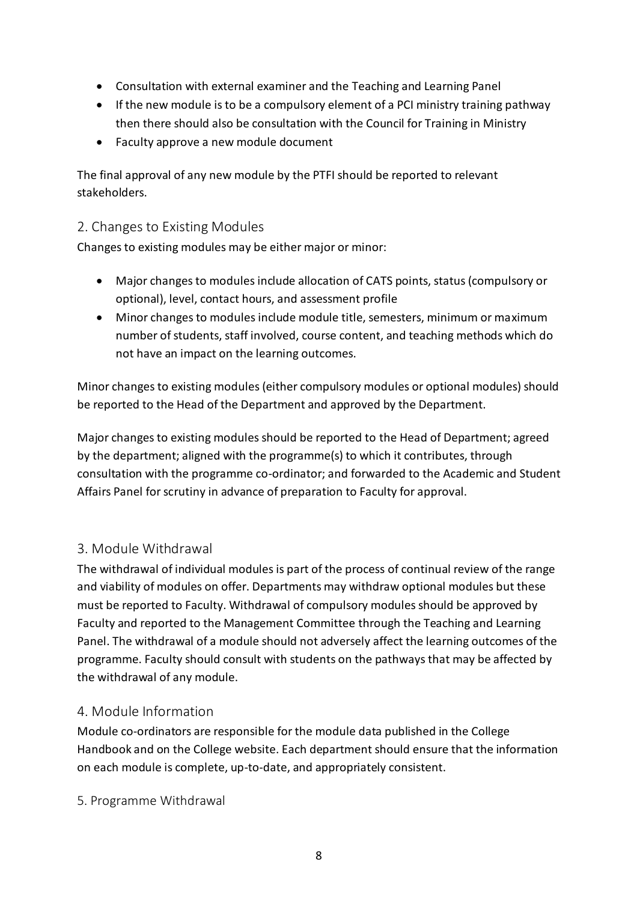- Consultation with external examiner and the Teaching and Learning Panel
- If the new module is to be a compulsory element of a PCI ministry training pathway then there should also be consultation with the Council for Training in Ministry
- Faculty approve a new module document

The final approval of any new module by the PTFI should be reported to relevant stakeholders.

## <span id="page-7-0"></span>2. Changes to Existing Modules

Changes to existing modules may be either major or minor:

- Major changes to modules include allocation of CATS points, status (compulsory or optional), level, contact hours, and assessment profile
- Minor changes to modules include module title, semesters, minimum or maximum number of students, staff involved, course content, and teaching methods which do not have an impact on the learning outcomes.

Minor changes to existing modules (either compulsory modules or optional modules) should be reported to the Head of the Department and approved by the Department.

Major changes to existing modules should be reported to the Head of Department; agreed by the department; aligned with the programme(s) to which it contributes, through consultation with the programme co-ordinator; and forwarded to the Academic and Student Affairs Panel for scrutiny in advance of preparation to Faculty for approval.

## <span id="page-7-1"></span>3. Module Withdrawal

The withdrawal of individual modules is part of the process of continual review of the range and viability of modules on offer. Departments may withdraw optional modules but these must be reported to Faculty. Withdrawal of compulsory modules should be approved by Faculty and reported to the Management Committee through the Teaching and Learning Panel. The withdrawal of a module should not adversely affect the learning outcomes of the programme. Faculty should consult with students on the pathways that may be affected by the withdrawal of any module.

#### <span id="page-7-2"></span>4. Module Information

Module co-ordinators are responsible for the module data published in the College Handbook and on the College website. Each department should ensure that the information on each module is complete, up-to-date, and appropriately consistent.

5. Programme Withdrawal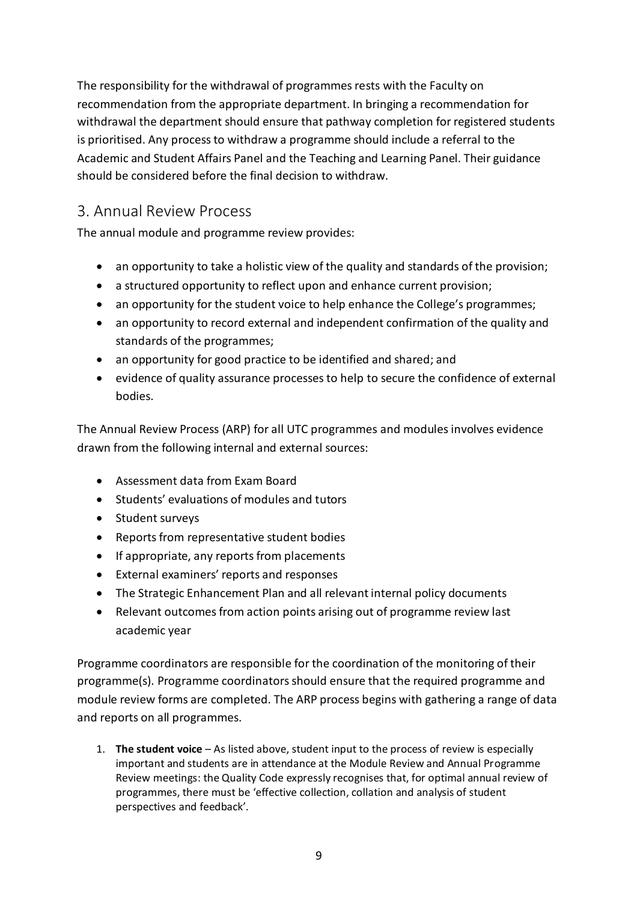The responsibility for the withdrawal of programmes rests with the Faculty on recommendation from the appropriate department. In bringing a recommendation for withdrawal the department should ensure that pathway completion for registered students is prioritised. Any process to withdraw a programme should include a referral to the Academic and Student Affairs Panel and the Teaching and Learning Panel. Their guidance should be considered before the final decision to withdraw.

# <span id="page-8-0"></span>3. Annual Review Process

The annual module and programme review provides:

- an opportunity to take a holistic view of the quality and standards of the provision;
- a structured opportunity to reflect upon and enhance current provision;
- an opportunity for the student voice to help enhance the College's programmes;
- an opportunity to record external and independent confirmation of the quality and standards of the programmes;
- an opportunity for good practice to be identified and shared; and
- evidence of quality assurance processes to help to secure the confidence of external bodies.

The Annual Review Process (ARP) for all UTC programmes and modules involves evidence drawn from the following internal and external sources:

- Assessment data from Exam Board
- Students' evaluations of modules and tutors
- Student surveys
- Reports from representative student bodies
- If appropriate, any reports from placements
- External examiners' reports and responses
- The Strategic Enhancement Plan and all relevant internal policy documents
- Relevant outcomes from action points arising out of programme review last academic year

Programme coordinators are responsible for the coordination of the monitoring of their programme(s). Programme coordinators should ensure that the required programme and module review forms are completed. The ARP process begins with gathering a range of data and reports on all programmes.

1. **The student voice** – As listed above, student input to the process of review is especially important and students are in attendance at the Module Review and Annual Programme Review meetings: the Quality Code expressly recognises that, for optimal annual review of programmes, there must be 'effective collection, collation and analysis of student perspectives and feedback'.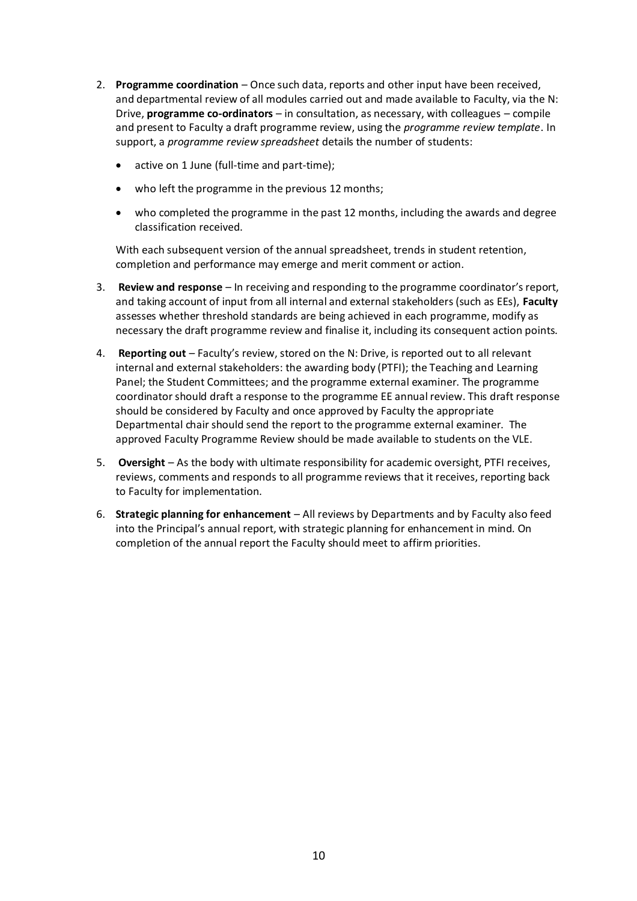- 2. **Programme coordination** Once such data, reports and other input have been received, and departmental review of all modules carried out and made available to Faculty, via the N: Drive, **programme co-ordinators** – in consultation, as necessary, with colleagues – compile and present to Faculty a draft programme review, using the *programme review template*. In support, a *programme review spreadsheet* details the number of students:
	- active on 1 June (full-time and part-time);
	- who left the programme in the previous 12 months;
	- who completed the programme in the past 12 months, including the awards and degree classification received.

With each subsequent version of the annual spreadsheet, trends in student retention, completion and performance may emerge and merit comment or action.

- 3. **Review and response** In receiving and responding to the programme coordinator's report, and taking account of input from all internal and external stakeholders (such as EEs), **Faculty**  assesses whether threshold standards are being achieved in each programme, modify as necessary the draft programme review and finalise it, including its consequent action points.
- 4. **Reporting out** Faculty's review, stored on the N: Drive, is reported out to all relevant internal and external stakeholders: the awarding body (PTFI); the Teaching and Learning Panel; the Student Committees; and the programme external examiner. The programme coordinator should draft a response to the programme EE annual review. This draft response should be considered by Faculty and once approved by Faculty the appropriate Departmental chair should send the report to the programme external examiner. The approved Faculty Programme Review should be made available to students on the VLE.
- 5. **Oversight** As the body with ultimate responsibility for academic oversight, PTFI receives, reviews, comments and responds to all programme reviews that it receives, reporting back to Faculty for implementation.
- 6. **Strategic planning for enhancement** All reviews by Departments and by Faculty also feed into the Principal's annual report, with strategic planning for enhancement in mind. On completion of the annual report the Faculty should meet to affirm priorities.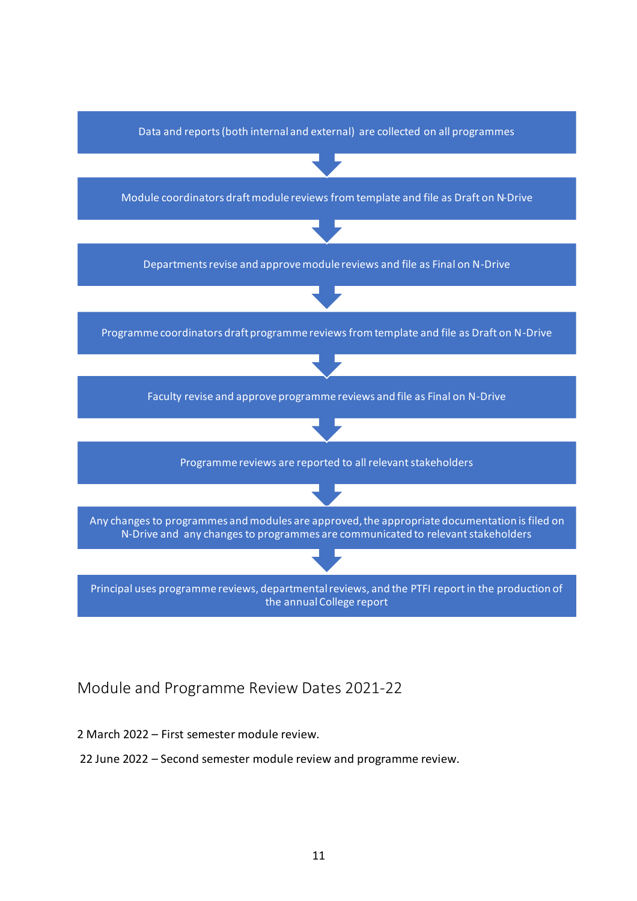

## <span id="page-10-0"></span>Module and Programme Review Dates 2021-22

#### 2 March 2022 – First semester module review.

22 June 2022 – Second semester module review and programme review.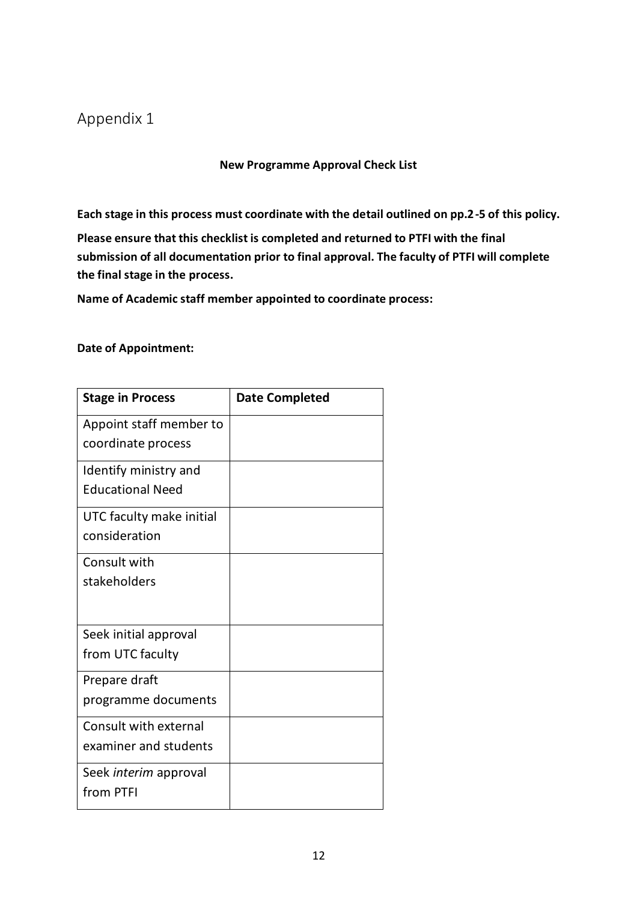# <span id="page-11-0"></span>Appendix 1

**New Programme Approval Check List**

**Each stage in this process must coordinate with the detail outlined on pp.2-5 of this policy.**

**Please ensure that this checklist is completed and returned to PTFI with the final submission of all documentation prior to final approval. The faculty of PTFI will complete the final stage in the process.**

**Name of Academic staff member appointed to coordinate process:**

#### **Date of Appointment:**

| <b>Stage in Process</b>                          | <b>Date Completed</b> |
|--------------------------------------------------|-----------------------|
| Appoint staff member to<br>coordinate process    |                       |
| Identify ministry and<br><b>Educational Need</b> |                       |
| UTC faculty make initial<br>consideration        |                       |
| Consult with<br>stakeholders                     |                       |
| Seek initial approval<br>from UTC faculty        |                       |
| Prepare draft<br>programme documents             |                       |
| Consult with external<br>examiner and students   |                       |
| Seek interim approval<br>from PTFI               |                       |